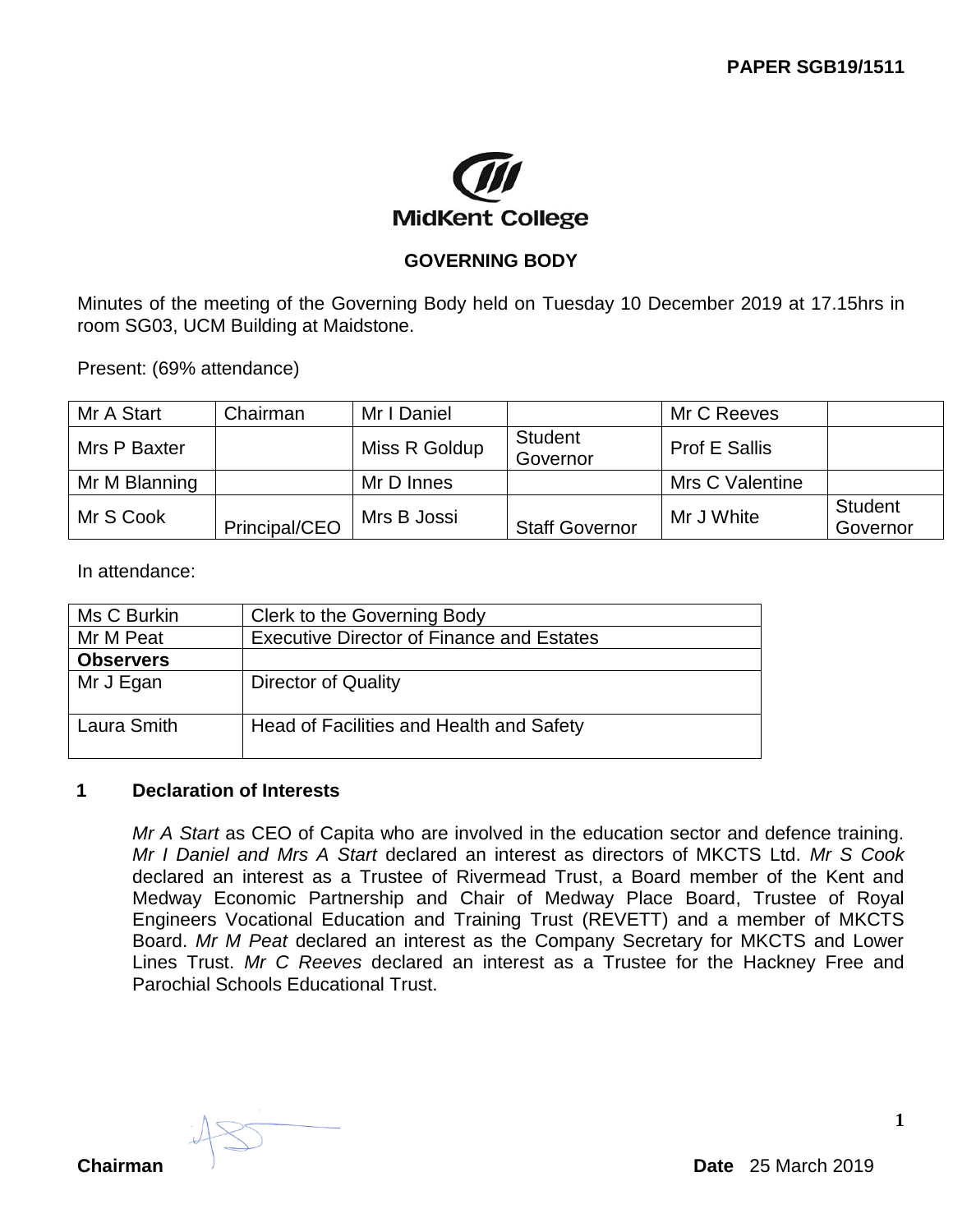

### **GOVERNING BODY**

Minutes of the meeting of the Governing Body held on Tuesday 10 December 2019 at 17.15hrs in room SG03, UCM Building at Maidstone.

Present: (69% attendance)

| Mr A Start    | Chairman      | Mr I Daniel   |                            | Mr C Reeves     |                     |
|---------------|---------------|---------------|----------------------------|-----------------|---------------------|
| Mrs P Baxter  |               | Miss R Goldup | <b>Student</b><br>Governor | Prof E Sallis   |                     |
| Mr M Blanning |               | Mr D Innes    |                            | Mrs C Valentine |                     |
| Mr S Cook     | Principal/CEO | Mrs B Jossi   | <b>Staff Governor</b>      | Mr J White      | Student<br>Governor |

In attendance:

| Ms C Burkin      | Clerk to the Governing Body                      |
|------------------|--------------------------------------------------|
| Mr M Peat        | <b>Executive Director of Finance and Estates</b> |
| <b>Observers</b> |                                                  |
| Mr J Egan        | <b>Director of Quality</b>                       |
| Laura Smith      | Head of Facilities and Health and Safety         |

#### **1 Declaration of Interests**

*Mr A Start* as CEO of Capita who are involved in the education sector and defence training. *Mr I Daniel and Mrs A Start* declared an interest as directors of MKCTS Ltd. *Mr S Cook* declared an interest as a Trustee of Rivermead Trust, a Board member of the Kent and Medway Economic Partnership and Chair of Medway Place Board, Trustee of Royal Engineers Vocational Education and Training Trust (REVETT) and a member of MKCTS Board. *Mr M Peat* declared an interest as the Company Secretary for MKCTS and Lower Lines Trust. *Mr C Reeves* declared an interest as a Trustee for the Hackney Free and Parochial Schools Educational Trust.

**Chairman Date** 25 March 2019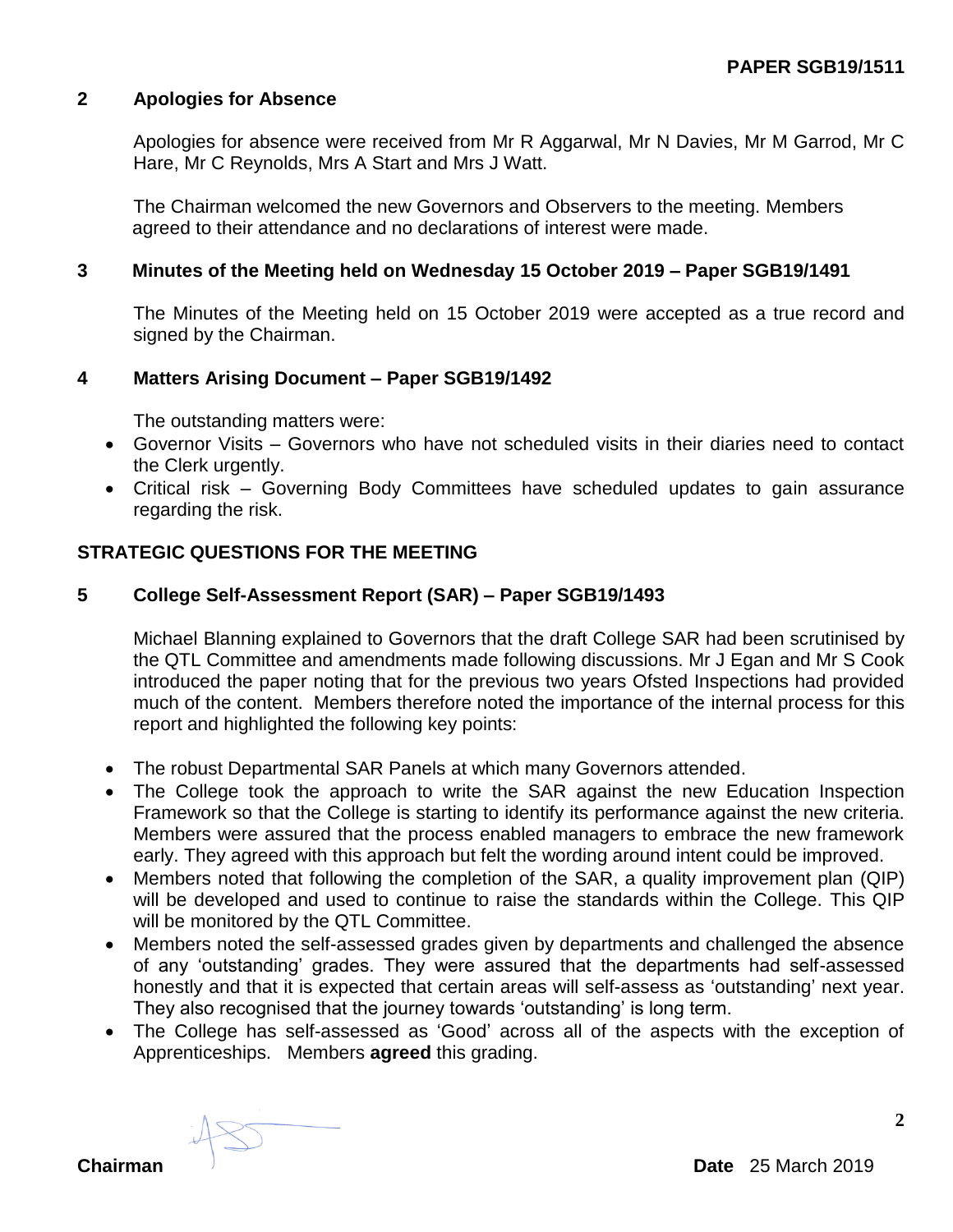### **2 Apologies for Absence**

Apologies for absence were received from Mr R Aggarwal, Mr N Davies, Mr M Garrod, Mr C Hare, Mr C Reynolds, Mrs A Start and Mrs J Watt.

The Chairman welcomed the new Governors and Observers to the meeting. Members agreed to their attendance and no declarations of interest were made.

#### **3 Minutes of the Meeting held on Wednesday 15 October 2019 – Paper SGB19/1491**

The Minutes of the Meeting held on 15 October 2019 were accepted as a true record and signed by the Chairman.

#### **4 Matters Arising Document – Paper SGB19/1492**

The outstanding matters were:

- Governor Visits Governors who have not scheduled visits in their diaries need to contact the Clerk urgently.
- Critical risk Governing Body Committees have scheduled updates to gain assurance regarding the risk.

#### **STRATEGIC QUESTIONS FOR THE MEETING**

#### **5 College Self-Assessment Report (SAR) – Paper SGB19/1493**

Michael Blanning explained to Governors that the draft College SAR had been scrutinised by the QTL Committee and amendments made following discussions. Mr J Egan and Mr S Cook introduced the paper noting that for the previous two years Ofsted Inspections had provided much of the content. Members therefore noted the importance of the internal process for this report and highlighted the following key points:

- The robust Departmental SAR Panels at which many Governors attended.
- The College took the approach to write the SAR against the new Education Inspection Framework so that the College is starting to identify its performance against the new criteria. Members were assured that the process enabled managers to embrace the new framework early. They agreed with this approach but felt the wording around intent could be improved.
- Members noted that following the completion of the SAR, a quality improvement plan (QIP) will be developed and used to continue to raise the standards within the College. This QIP will be monitored by the QTL Committee.
- Members noted the self-assessed grades given by departments and challenged the absence of any 'outstanding' grades. They were assured that the departments had self-assessed honestly and that it is expected that certain areas will self-assess as 'outstanding' next year. They also recognised that the journey towards 'outstanding' is long term.
- The College has self-assessed as 'Good' across all of the aspects with the exception of Apprenticeships.Members **agreed** this grading.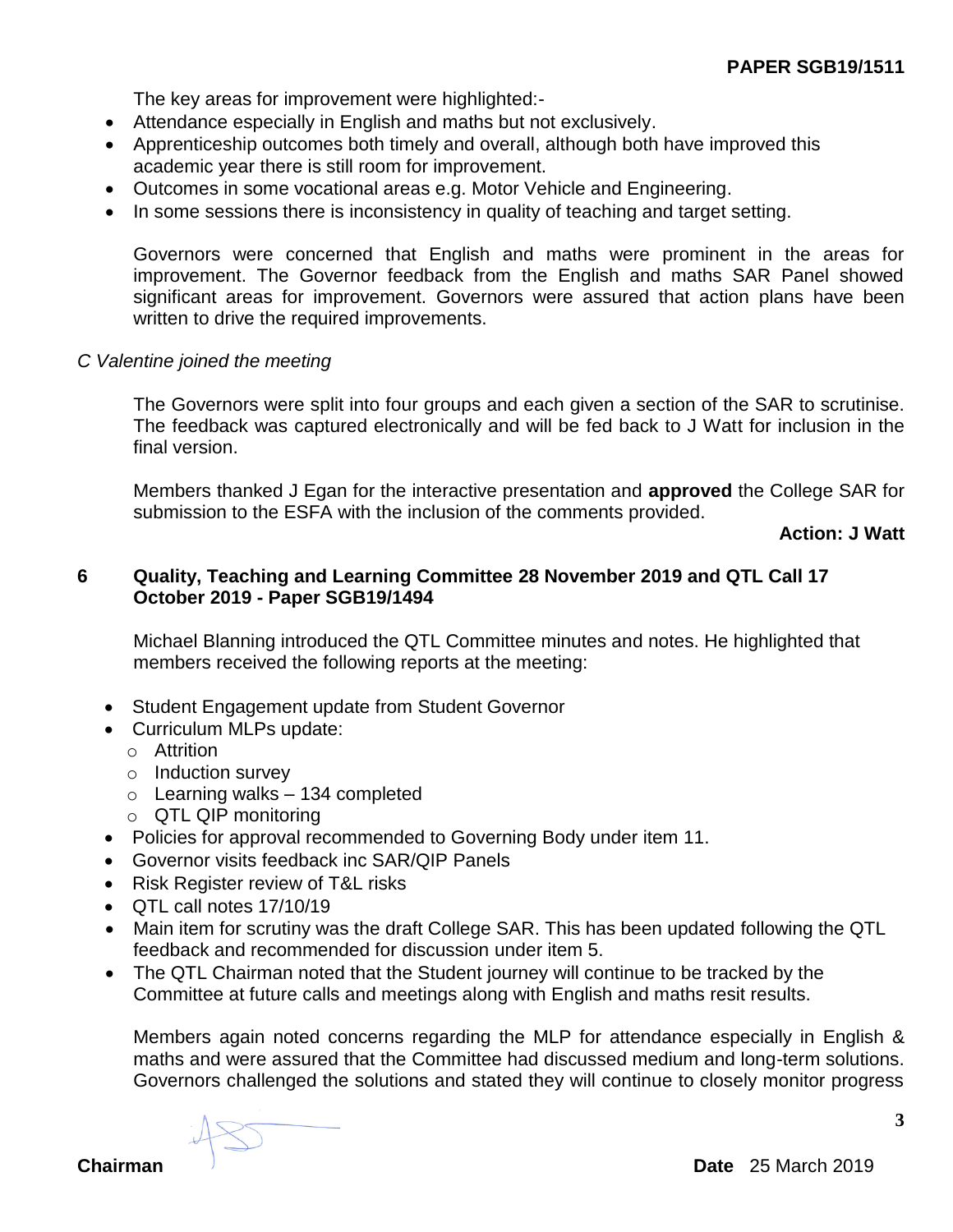The key areas for improvement were highlighted:-

- Attendance especially in English and maths but not exclusively.
- Apprenticeship outcomes both timely and overall, although both have improved this academic year there is still room for improvement.
- Outcomes in some vocational areas e.g. Motor Vehicle and Engineering.
- In some sessions there is inconsistency in quality of teaching and target setting.

Governors were concerned that English and maths were prominent in the areas for improvement. The Governor feedback from the English and maths SAR Panel showed significant areas for improvement. Governors were assured that action plans have been written to drive the required improvements.

### *C Valentine joined the meeting*

The Governors were split into four groups and each given a section of the SAR to scrutinise. The feedback was captured electronically and will be fed back to J Watt for inclusion in the final version.

Members thanked J Egan for the interactive presentation and **approved** the College SAR for submission to the ESFA with the inclusion of the comments provided.

**Action: J Watt**

### **6 Quality, Teaching and Learning Committee 28 November 2019 and QTL Call 17 October 2019 - Paper SGB19/1494**

Michael Blanning introduced the QTL Committee minutes and notes. He highlighted that members received the following reports at the meeting:

- Student Engagement update from Student Governor
- Curriculum MLPs update:
	- o Attrition
	- o Induction survey
	- $\circ$  Learning walks 134 completed
	- o QTL QIP monitoring
- Policies for approval recommended to Governing Body under item 11.
- Governor visits feedback inc SAR/QIP Panels
- Risk Register review of T&L risks
- QTL call notes 17/10/19
- Main item for scrutiny was the draft College SAR. This has been updated following the QTL feedback and recommended for discussion under item 5.
- The QTL Chairman noted that the Student journey will continue to be tracked by the Committee at future calls and meetings along with English and maths resit results.

Members again noted concerns regarding the MLP for attendance especially in English & maths and were assured that the Committee had discussed medium and long-term solutions. Governors challenged the solutions and stated they will continue to closely monitor progress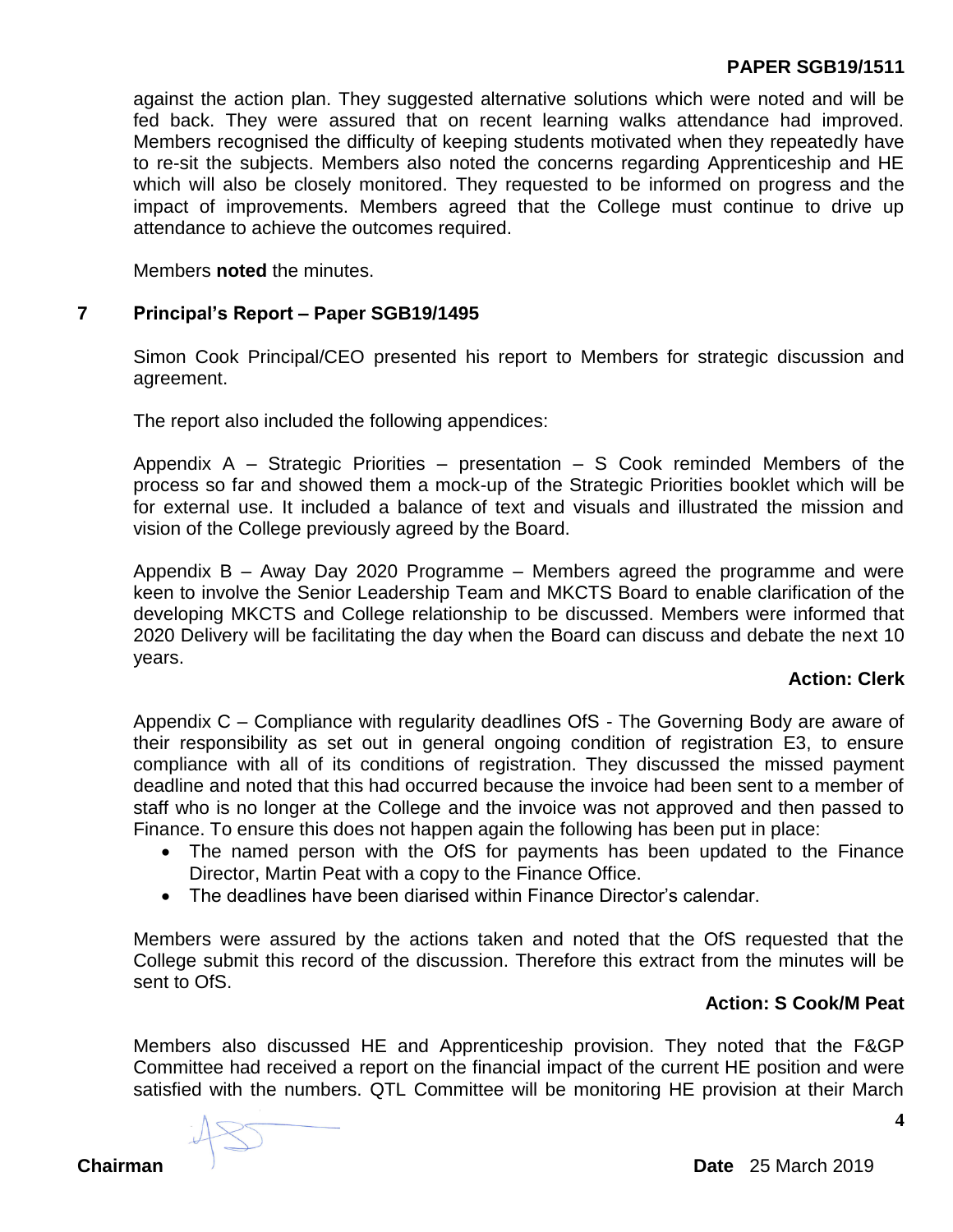### **PAPER SGB19/1511**

against the action plan. They suggested alternative solutions which were noted and will be fed back. They were assured that on recent learning walks attendance had improved. Members recognised the difficulty of keeping students motivated when they repeatedly have to re-sit the subjects. Members also noted the concerns regarding Apprenticeship and HE which will also be closely monitored. They requested to be informed on progress and the impact of improvements. Members agreed that the College must continue to drive up attendance to achieve the outcomes required.

Members **noted** the minutes.

#### **7 Principal's Report – Paper SGB19/1495**

Simon Cook Principal/CEO presented his report to Members for strategic discussion and agreement.

The report also included the following appendices:

Appendix  $A -$  Strategic Priorities – presentation – S Cook reminded Members of the process so far and showed them a mock-up of the Strategic Priorities booklet which will be for external use. It included a balance of text and visuals and illustrated the mission and vision of the College previously agreed by the Board.

Appendix B – Away Day 2020 Programme – Members agreed the programme and were keen to involve the Senior Leadership Team and MKCTS Board to enable clarification of the developing MKCTS and College relationship to be discussed. Members were informed that 2020 Delivery will be facilitating the day when the Board can discuss and debate the next 10 years.

### **Action: Clerk**

Appendix C – Compliance with regularity deadlines OfS - The Governing Body are aware of their responsibility as set out in general ongoing condition of registration E3, to ensure compliance with all of its conditions of registration. They discussed the missed payment deadline and noted that this had occurred because the invoice had been sent to a member of staff who is no longer at the College and the invoice was not approved and then passed to Finance. To ensure this does not happen again the following has been put in place:

- The named person with the OfS for payments has been updated to the Finance Director, Martin Peat with a copy to the Finance Office.
- The deadlines have been diarised within Finance Director's calendar.

Members were assured by the actions taken and noted that the OfS requested that the College submit this record of the discussion. Therefore this extract from the minutes will be sent to OfS.

### **Action: S Cook/M Peat**

Members also discussed HE and Apprenticeship provision. They noted that the F&GP Committee had received a report on the financial impact of the current HE position and were satisfied with the numbers. QTL Committee will be monitoring HE provision at their March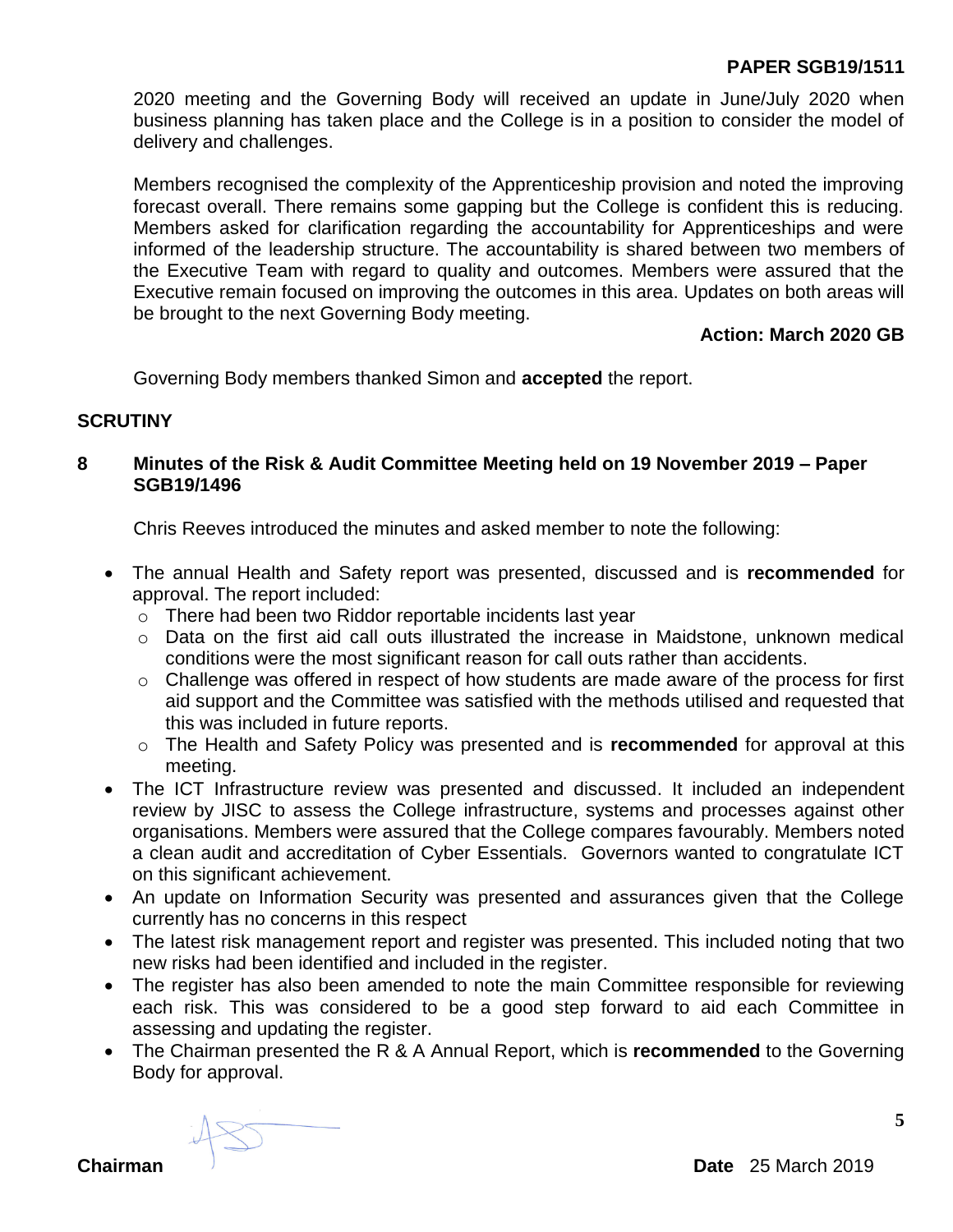# **PAPER SGB19/1511**

2020 meeting and the Governing Body will received an update in June/July 2020 when business planning has taken place and the College is in a position to consider the model of delivery and challenges.

Members recognised the complexity of the Apprenticeship provision and noted the improving forecast overall. There remains some gapping but the College is confident this is reducing. Members asked for clarification regarding the accountability for Apprenticeships and were informed of the leadership structure. The accountability is shared between two members of the Executive Team with regard to quality and outcomes. Members were assured that the Executive remain focused on improving the outcomes in this area. Updates on both areas will be brought to the next Governing Body meeting.

### **Action: March 2020 GB**

Governing Body members thanked Simon and **accepted** the report.

### **SCRUTINY**

### **8 Minutes of the Risk & Audit Committee Meeting held on 19 November 2019 – Paper SGB19/1496**

Chris Reeves introduced the minutes and asked member to note the following:

- The annual Health and Safety report was presented, discussed and is **recommended** for approval. The report included:
	- $\circ$  There had been two Riddor reportable incidents last year
	- o Data on the first aid call outs illustrated the increase in Maidstone, unknown medical conditions were the most significant reason for call outs rather than accidents.
	- o Challenge was offered in respect of how students are made aware of the process for first aid support and the Committee was satisfied with the methods utilised and requested that this was included in future reports.
	- o The Health and Safety Policy was presented and is **recommended** for approval at this meeting.
- The ICT Infrastructure review was presented and discussed. It included an independent review by JISC to assess the College infrastructure, systems and processes against other organisations. Members were assured that the College compares favourably. Members noted a clean audit and accreditation of Cyber Essentials. Governors wanted to congratulate ICT on this significant achievement.
- An update on Information Security was presented and assurances given that the College currently has no concerns in this respect
- The latest risk management report and register was presented. This included noting that two new risks had been identified and included in the register.
- The register has also been amended to note the main Committee responsible for reviewing each risk. This was considered to be a good step forward to aid each Committee in assessing and updating the register.
- The Chairman presented the R & A Annual Report, which is **recommended** to the Governing Body for approval.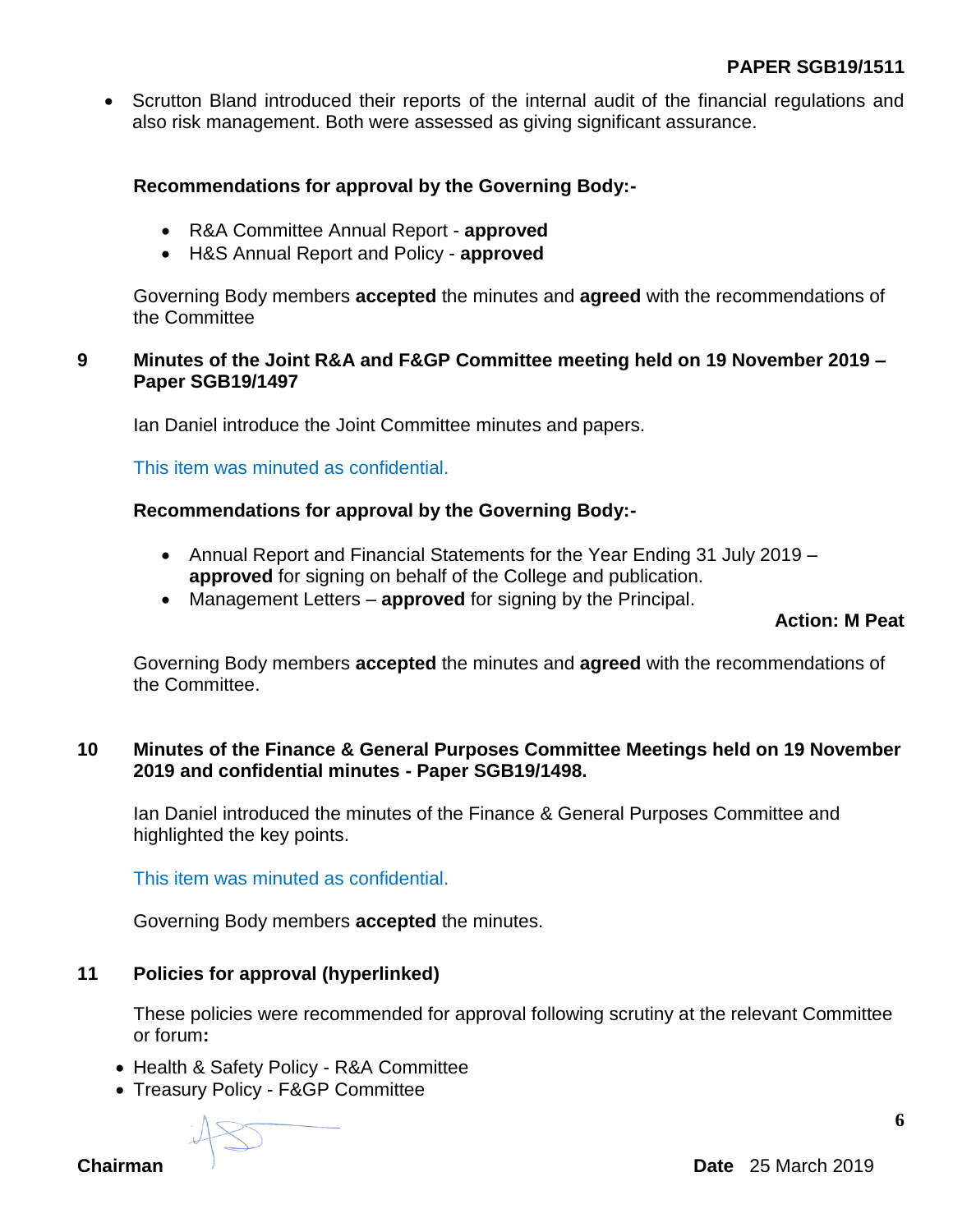• Scrutton Bland introduced their reports of the internal audit of the financial regulations and also risk management. Both were assessed as giving significant assurance.

## **Recommendations for approval by the Governing Body:-**

- R&A Committee Annual Report **approved**
- H&S Annual Report and Policy **approved**

Governing Body members **accepted** the minutes and **agreed** with the recommendations of the Committee

### **9 Minutes of the Joint R&A and F&GP Committee meeting held on 19 November 2019 – Paper SGB19/1497**

Ian Daniel introduce the Joint Committee minutes and papers.

This item was minuted as confidential.

# **Recommendations for approval by the Governing Body:-**

- Annual Report and Financial Statements for the Year Ending 31 July 2019 **approved** for signing on behalf of the College and publication.
- Management Letters **approved** for signing by the Principal.

# **Action: M Peat**

Governing Body members **accepted** the minutes and **agreed** with the recommendations of the Committee.

### **10 Minutes of the Finance & General Purposes Committee Meetings held on 19 November 2019 and confidential minutes - Paper SGB19/1498.**

Ian Daniel introduced the minutes of the Finance & General Purposes Committee and highlighted the key points.

This item was minuted as confidential.

Governing Body members **accepted** the minutes.

# **11 Policies for approval (hyperlinked)**

These policies were recommended for approval following scrutiny at the relevant Committee or forum**:**

- Health & Safety Policy R&A Committee
- Treasury Policy F&GP Committee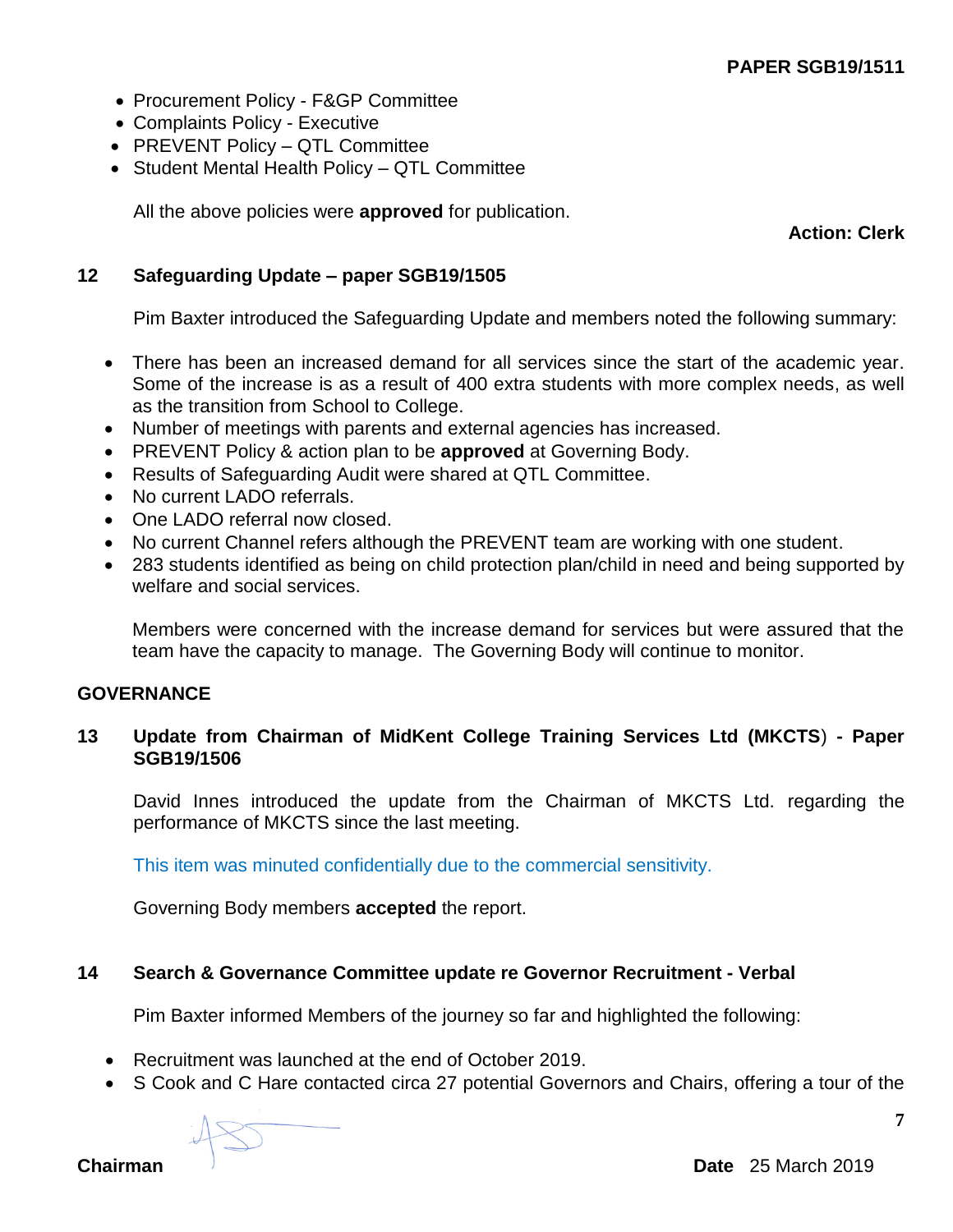- Procurement Policy F&GP Committee
- Complaints Policy Executive
- PREVENT Policy QTL Committee
- Student Mental Health Policy QTL Committee

All the above policies were **approved** for publication.

**Action: Clerk**

## **12 Safeguarding Update – paper SGB19/1505**

Pim Baxter introduced the Safeguarding Update and members noted the following summary:

- There has been an increased demand for all services since the start of the academic year. Some of the increase is as a result of 400 extra students with more complex needs, as well as the transition from School to College.
- Number of meetings with parents and external agencies has increased.
- PREVENT Policy & action plan to be **approved** at Governing Body.
- Results of Safeguarding Audit were shared at QTL Committee.
- No current LADO referrals.
- One LADO referral now closed.
- No current Channel refers although the PREVENT team are working with one student.
- 283 students identified as being on child protection plan/child in need and being supported by welfare and social services.

Members were concerned with the increase demand for services but were assured that the team have the capacity to manage. The Governing Body will continue to monitor.

### **GOVERNANCE**

### **13 Update from Chairman of MidKent College Training Services Ltd (MKCTS**) **- Paper SGB19/1506**

David Innes introduced the update from the Chairman of MKCTS Ltd. regarding the performance of MKCTS since the last meeting.

This item was minuted confidentially due to the commercial sensitivity.

Governing Body members **accepted** the report.

# **14 Search & Governance Committee update re Governor Recruitment - Verbal**

Pim Baxter informed Members of the journey so far and highlighted the following:

- Recruitment was launched at the end of October 2019.
- S Cook and C Hare contacted circa 27 potential Governors and Chairs, offering a tour of the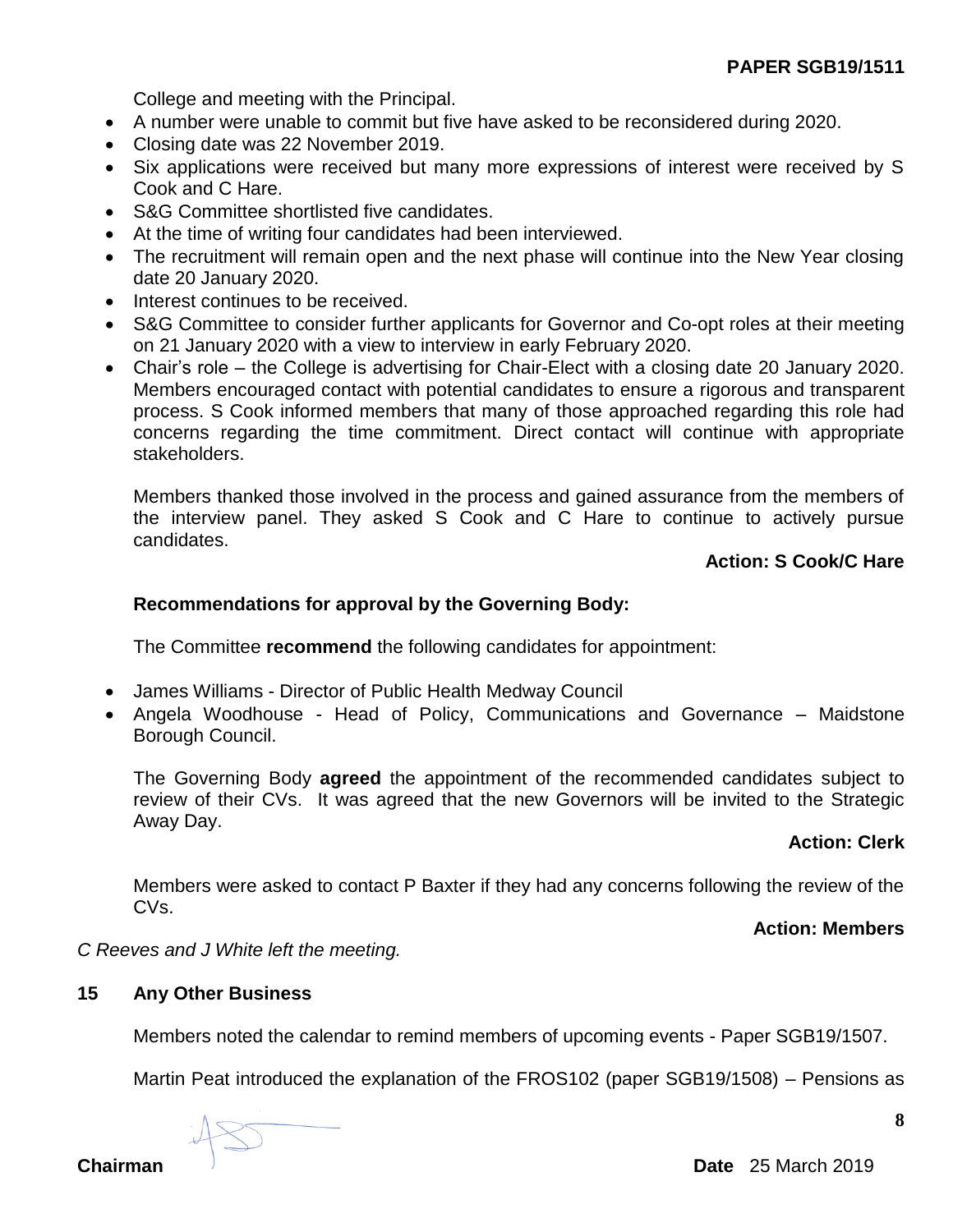College and meeting with the Principal.

- A number were unable to commit but five have asked to be reconsidered during 2020.
- Closing date was 22 November 2019.
- Six applications were received but many more expressions of interest were received by S Cook and C Hare.
- S&G Committee shortlisted five candidates.
- At the time of writing four candidates had been interviewed.
- The recruitment will remain open and the next phase will continue into the New Year closing date 20 January 2020.
- Interest continues to be received.
- S&G Committee to consider further applicants for Governor and Co-opt roles at their meeting on 21 January 2020 with a view to interview in early February 2020.
- Chair's role the College is advertising for Chair-Elect with a closing date 20 January 2020. Members encouraged contact with potential candidates to ensure a rigorous and transparent process. S Cook informed members that many of those approached regarding this role had concerns regarding the time commitment. Direct contact will continue with appropriate stakeholders.

Members thanked those involved in the process and gained assurance from the members of the interview panel. They asked S Cook and C Hare to continue to actively pursue candidates.

# **Action: S Cook/C Hare**

# **Recommendations for approval by the Governing Body:**

The Committee **recommend** the following candidates for appointment:

- James Williams Director of Public Health Medway Council
- Angela Woodhouse Head of Policy, Communications and Governance Maidstone Borough Council.

The Governing Body **agreed** the appointment of the recommended candidates subject to review of their CVs. It was agreed that the new Governors will be invited to the Strategic Away Day.

# **Action: Clerk**

Members were asked to contact P Baxter if they had any concerns following the review of the CVs.

### **Action: Members**

*C Reeves and J White left the meeting.*

### **15 Any Other Business**

Members noted the calendar to remind members of upcoming events - Paper SGB19/1507.

Martin Peat introduced the explanation of the FROS102 (paper SGB19/1508) – Pensions as

**Chairman** Date 25 March 2019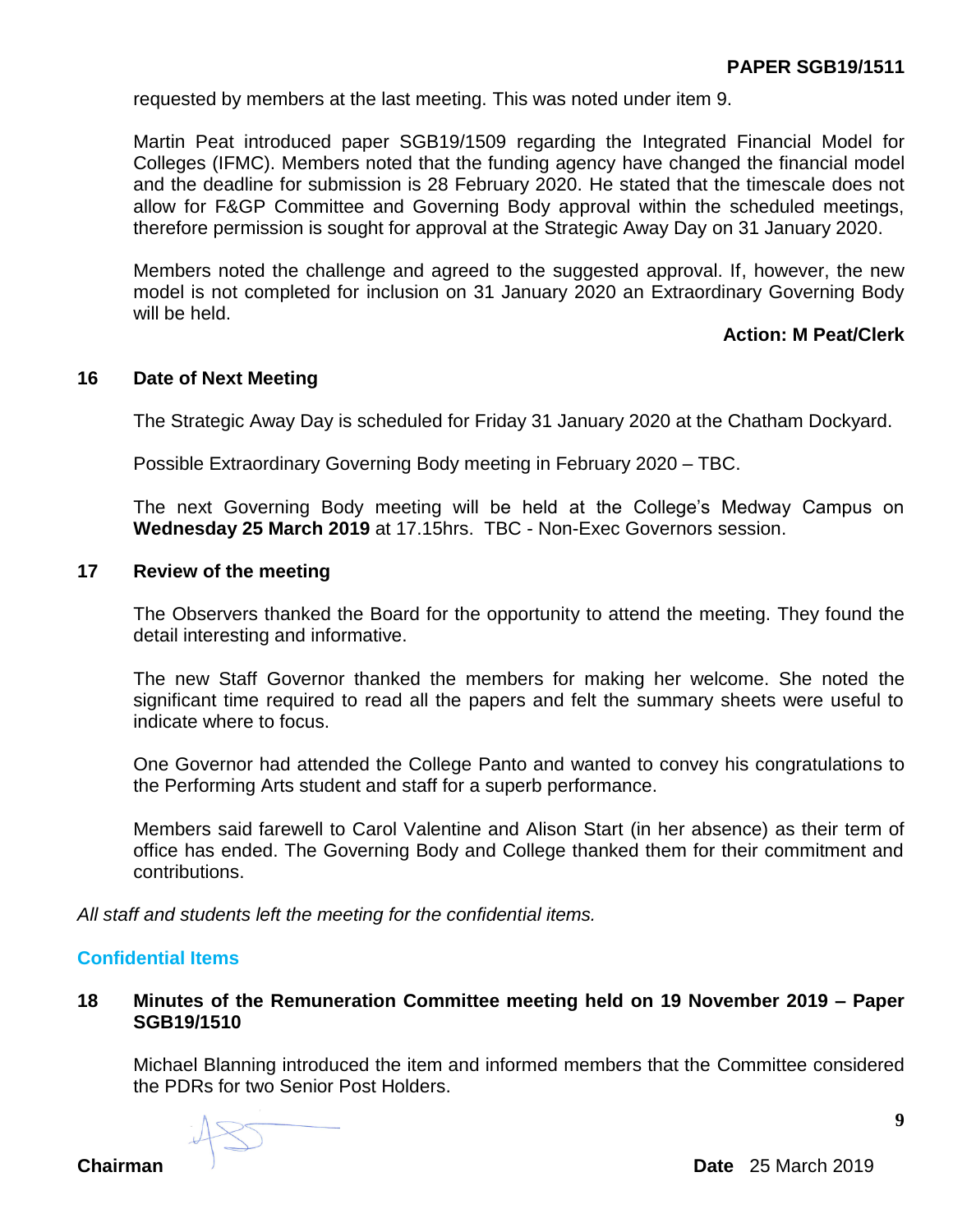requested by members at the last meeting. This was noted under item 9.

Martin Peat introduced paper SGB19/1509 regarding the Integrated Financial Model for Colleges (IFMC). Members noted that the funding agency have changed the financial model and the deadline for submission is 28 February 2020. He stated that the timescale does not allow for F&GP Committee and Governing Body approval within the scheduled meetings, therefore permission is sought for approval at the Strategic Away Day on 31 January 2020.

Members noted the challenge and agreed to the suggested approval. If, however, the new model is not completed for inclusion on 31 January 2020 an Extraordinary Governing Body will be held.

# **Action: M Peat/Clerk**

#### **16 Date of Next Meeting**

The Strategic Away Day is scheduled for Friday 31 January 2020 at the Chatham Dockyard.

Possible Extraordinary Governing Body meeting in February 2020 – TBC.

The next Governing Body meeting will be held at the College's Medway Campus on **Wednesday 25 March 2019** at 17.15hrs. TBC - Non-Exec Governors session.

#### **17 Review of the meeting**

The Observers thanked the Board for the opportunity to attend the meeting. They found the detail interesting and informative.

The new Staff Governor thanked the members for making her welcome. She noted the significant time required to read all the papers and felt the summary sheets were useful to indicate where to focus.

One Governor had attended the College Panto and wanted to convey his congratulations to the Performing Arts student and staff for a superb performance.

Members said farewell to Carol Valentine and Alison Start (in her absence) as their term of office has ended. The Governing Body and College thanked them for their commitment and contributions.

*All staff and students left the meeting for the confidential items.*

#### **Confidential Items**

### **18 Minutes of the Remuneration Committee meeting held on 19 November 2019 – Paper SGB19/1510**

Michael Blanning introduced the item and informed members that the Committee considered the PDRs for two Senior Post Holders.